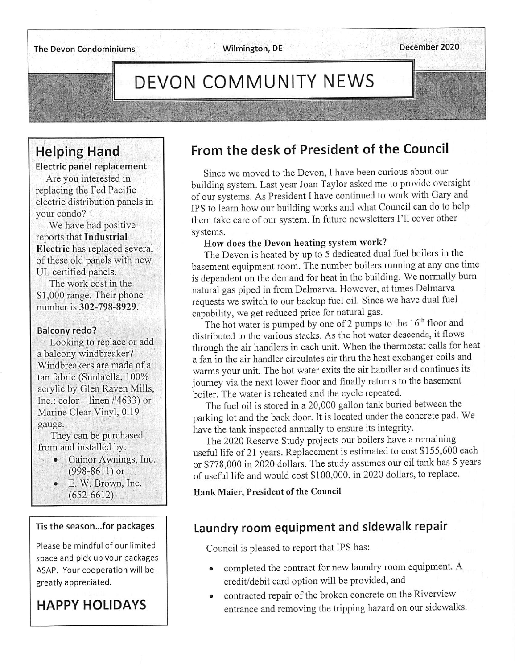# DEVON COMMUNITY NEWS

## Helping Hand

Electric panel replacement

Are you interested in replacing the Fed Pacific electric distribution panels in your condo?

We have had positive reports that Industrial Electric has replaced several of these old panels with new UL certified panels.

The work cost in the \$1,000 range. Their phone number is 302-798-8929.

#### Balcony redo?

Looking to replace or add a balcony windbreaker? Windbreakers are made of a tan fabric (Sunbrella, 100% acrylic by Glen Raven Mills, Inc.: color  $-$  linen #4633) or Marine Clear Vinyl, 0.19 gauge.

They can be purchased from and installed by:

- Gainor Awnings, Inc. (998-8611) or
- E. W. Brown, Inc. (652-6612)

#### Tis the season...for packages

Please be mindful of our limited space and pick up your packages ASAP. Your cooperation will be greatly appreciated.

## HAPPY HOLIDAYS

## From the desk of President of the Council

Since we moved to the Devon, I have been curious about our building system. Last year Joan Taylor asked me to provide oversight of our systems. As President I have continued to work with Gary and IPS to learn how our building works and what Council can do to help them take care of our system. In future newsletters I'll cover other systems.

#### How does the Devon heating system work?

The Devon is heated by up to 5 dedicated dual fuel boilers in the basement equipment room. The number boilers running at any one time is dependent on the demand for heat in the building. We normally burn natural gas piped in from Delmarva. However, at times Delmarva requests we switch to our backup fuel oil. Since we have dual fuel capability, we get reduced price for natural gas.

The hot water is pumped by one of 2 pumps to the 16<sup>th</sup> floor and distributed to the various stacks. As the hot water descends, it flows through the air handlers in each unit. When the thermostat calls for heat a fan in the air handler circulates air thru the heat exchanger coils and warms your unit. The hot water exits the air handler and continues its journey via the next lower floor and finally returns to the basement boiler. The water is reheated and the cycle repeated.

The fuel oil is stored in a 20,000 gallon tank buried between the parking lot and the back door. It is located under the concrete pad. We have the tank inspected annually to ensure its integrity.

The 2020 Reserve Study projects our boilers have a remaining useful life of 21 years. Replacement is estimated to cost \$155,600 each or \$778,000 in 2020 dollars. The study assumes our oil tank has 5 years of useful life and would cost \$100,000, in 2020 dollars, to replace.

Hank Maier, President of the Council

## Laundry room equipment and sidewalk repair

Council is pleased to report that IPS has:

- completed the contract for new laundry room equipment. A credit/debit card option will be provided, and
- contracted repair of the broken concrete on the Riverview entrance and removing the tripping hazard on our sidewalks.